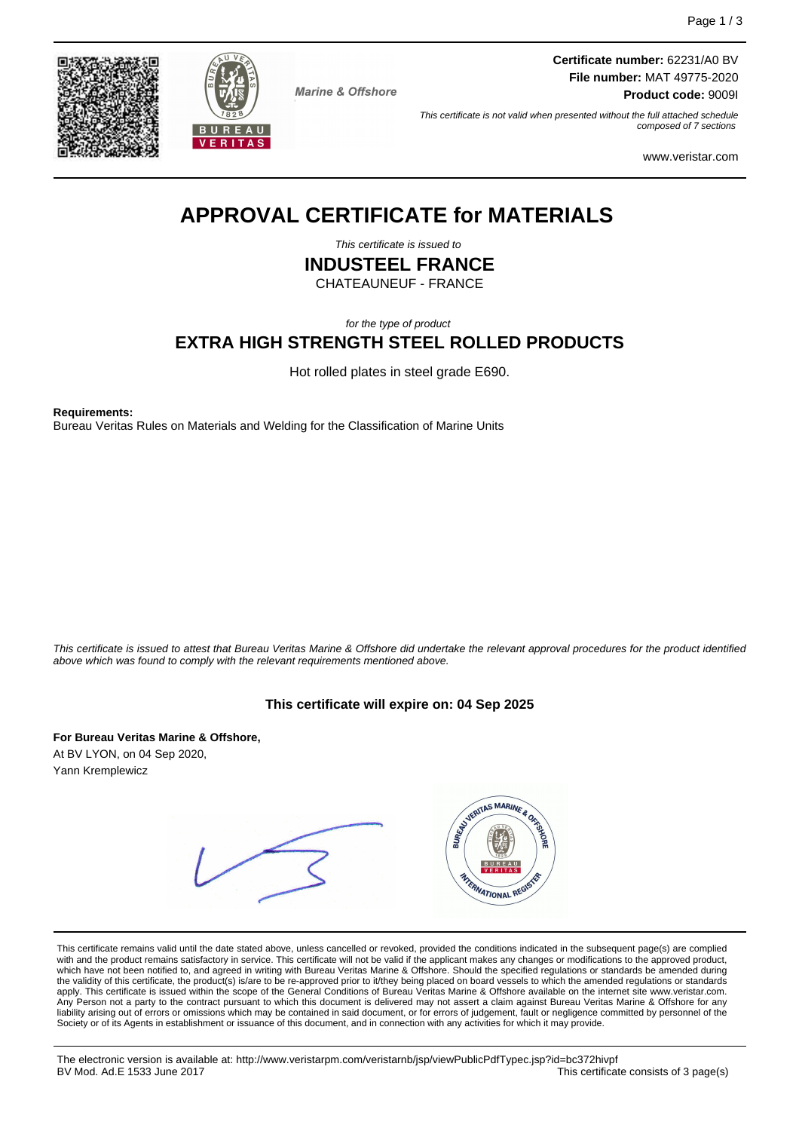



**Marine & Offshore** 

**Certificate number:** 62231/A0 BV **File number:** MAT 49775-2020 **Product code:** 9009I

This certificate is not valid when presented without the full attached schedule composed of 7 sections

www.veristar.com

# **APPROVAL CERTIFICATE for MATERIALS**

This certificate is issued to

**INDUSTEEL FRANCE**

CHATEAUNEUF - FRANCE

for the type of product

## **EXTRA HIGH STRENGTH STEEL ROLLED PRODUCTS**

Hot rolled plates in steel grade E690.

**Requirements:**

Bureau Veritas Rules on Materials and Welding for the Classification of Marine Units

This certificate is issued to attest that Bureau Veritas Marine & Offshore did undertake the relevant approval procedures for the product identified above which was found to comply with the relevant requirements mentioned above.

#### **This certificate will expire on: 04 Sep 2025**

**For Bureau Veritas Marine & Offshore,** At BV LYON, on 04 Sep 2020, Yann Kremplewicz

|  | ASSIGNTAS MARINE & ORIGINAL<br>BUREAU<br><b>VERITAS</b><br><b>ATERNATIONAL REGISTER</b> |
|--|-----------------------------------------------------------------------------------------|
|--|-----------------------------------------------------------------------------------------|

This certificate remains valid until the date stated above, unless cancelled or revoked, provided the conditions indicated in the subsequent page(s) are complied with and the product remains satisfactory in service. This certificate will not be valid if the applicant makes any changes or modifications to the approved product,<br>which have not been notified to, and agreed in writing w apply. This certificate is issued within the scope of the General Conditions of Bureau Veritas Marine & Offshore available on the internet site www.veristar.com. Person not a party to the contract pursuant to which this document is delivered may not assert a claim against Bureau Veritas Marine & Offshore for any liability arising out of errors or omissions which may be contained in said document, or for errors of judgement, fault or negligence committed by personnel of the Society or of its Agents in establishment or issuance of this document, and in connection with any activities for which it may provide.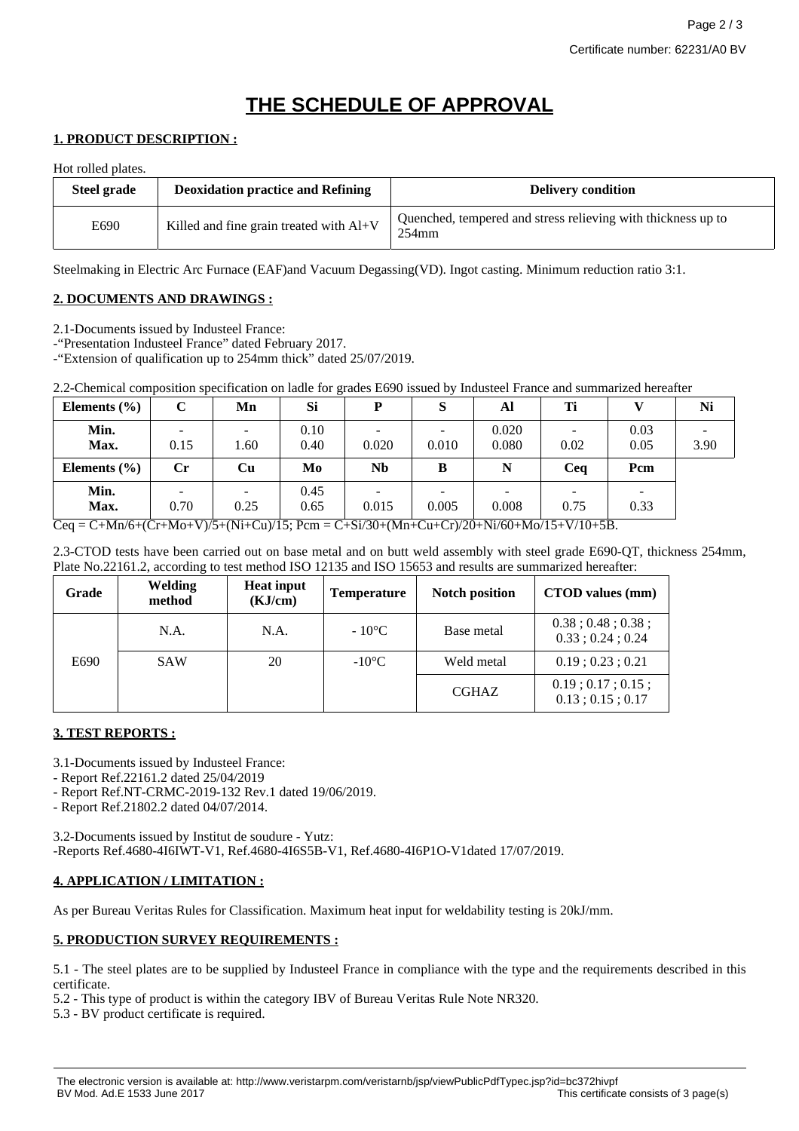# **THE SCHEDULE OF APPROVAL**

#### **1. PRODUCT DESCRIPTION :**

Hot rolled plates.

| Steel grade | <b>Deoxidation practice and Refining</b>  | <b>Delivery condition</b>                                                |
|-------------|-------------------------------------------|--------------------------------------------------------------------------|
| E690        | Killed and fine grain treated with $AI+V$ | Quenched, tempered and stress relieving with thickness up to<br>$254$ mm |

Steelmaking in Electric Arc Furnace (EAF)and Vacuum Degassing(VD). Ingot casting. Minimum reduction ratio 3:1.

#### **2. DOCUMENTS AND DRAWINGS :**

2.1-Documents issued by Industeel France:

-"Presentation Industeel France" dated February 2017.

-"Extension of qualification up to 254mm thick" dated 25/07/2019.

2.2-Chemical composition specification on ladle for grades E690 issued by Industeel France and summarized hereafter

| Elements $(\% )$ | $\mathbf C$                      | Mn                               | <b>Si</b>    | D         |       | Al             | Ti        |                                  | Ni   |
|------------------|----------------------------------|----------------------------------|--------------|-----------|-------|----------------|-----------|----------------------------------|------|
| Min.<br>Max.     | -<br>0.15                        | $\overline{\phantom{a}}$<br>. 60 | 0.10<br>0.40 | 0.020     | 0.010 | 0.020<br>0.080 | -<br>0.02 | 0.03<br>0.05                     | 3.90 |
| Elements $(\% )$ | $\mathbf{C}$ r                   | Cu                               | Mo           | <b>Nb</b> | B     | N              | Ceq       | Pcm                              |      |
| Min.<br>Max.     | $\overline{\phantom{0}}$<br>0.70 | $\overline{\phantom{a}}$<br>0.25 | 0.45<br>0.65 | 0.015     | 0.005 | 0.008          | ۰<br>0.75 | $\overline{\phantom{0}}$<br>0.33 |      |

 $Ceq = C+Mn/6+(Cr+Mo+V)/5+(Ni+Cu)/15$ ;  $Pcm = C+Si/30+(Mn+Cu+Cr)/20+Ni/60+Mo/15+V/10+5B$ .

2.3-CTOD tests have been carried out on base metal and on butt weld assembly with steel grade E690-QT, thickness 254mm, Plate No.22161.2, according to test method ISO 12135 and ISO 15653 and results are summarized hereafter:

| Grade | <b>Welding</b><br>method | <b>Heat input</b><br>(KJ/cm) | <b>Temperature</b> | <b>Notch position</b> | CTOD values (mm)                                       |
|-------|--------------------------|------------------------------|--------------------|-----------------------|--------------------------------------------------------|
|       | N.A.                     | N.A.                         | $-10^{\circ}$ C    | Base metal            | $0.38$ ; $0.48$ ; $0.38$ ;<br>$0.33$ ; $0.24$ ; $0.24$ |
| E690  | <b>SAW</b>               | 20                           | $-10^{\circ}$ C    | Weld metal            | $0.19$ ; $0.23$ ; $0.21$                               |
|       |                          |                              |                    | <b>CGHAZ</b>          | $0.19$ ; $0.17$ ; $0.15$ ;<br>$0.13$ ; $0.15$ ; $0.17$ |

## **3. TEST REPORTS :**

3.1-Documents issued by Industeel France:

- Report Ref.22161.2 dated 25/04/2019

- Report Ref.NT-CRMC-2019-132 Rev.1 dated 19/06/2019.

- Report Ref.21802.2 dated 04/07/2014.

3.2-Documents issued by Institut de soudure - Yutz: -Reports Ref.4680-4I6IWT-V1, Ref.4680-4I6S5B-V1, Ref.4680-4I6P1O-V1dated 17/07/2019.

## **4. APPLICATION / LIMITATION :**

As per Bureau Veritas Rules for Classification. Maximum heat input for weldability testing is 20kJ/mm.

## **5. PRODUCTION SURVEY REQUIREMENTS :**

5.1 - The steel plates are to be supplied by Industeel France in compliance with the type and the requirements described in this certificate.

5.2 - This type of product is within the category IBV of Bureau Veritas Rule Note NR320.

5.3 - BV product certificate is required.